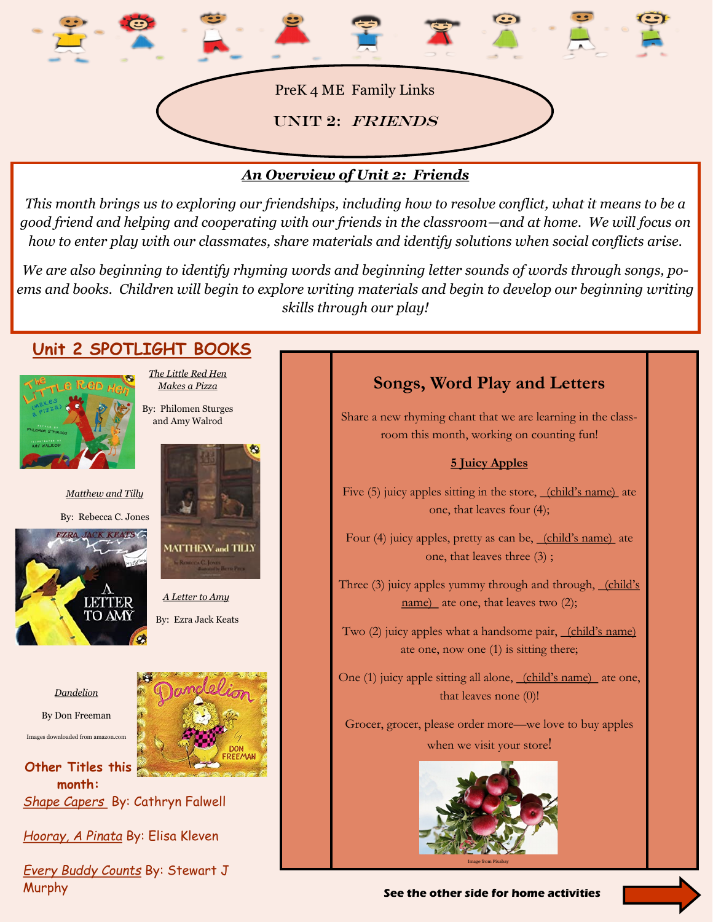

## *An Overview of Unit 2: Friends*

*This month brings us to exploring our friendships, including how to resolve conflict, what it means to be a good friend and helping and cooperating with our friends in the classroom—and at home. We will focus on how to enter play with our classmates, share materials and identify solutions when social conflicts arise.* 

*We are also beginning to identify rhyming words and beginning letter sounds of words through songs, poems and books. Children will begin to explore writing materials and begin to develop our beginning writing skills through our play!*